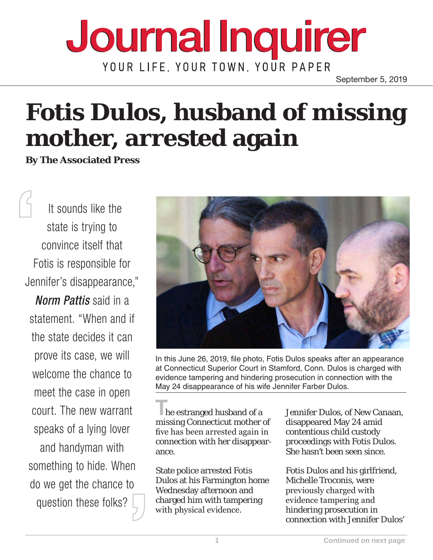## **Journal Inquirer** YOUR LIFE, YOUR TOWN, YOUR PAPER

September 5, 2019

## **Fotis Dulos, husband of missing mother, arrested again**

**By The Associated Press**

 It sounds like the state is trying to convince itself that Fotis is responsible for Jennifer's disappearance,"

*Norm Pattis* said in a statement. "When and if the state decides it can prove its case, we will welcome the chance to meet the case in open court. The new warrant speaks of a lying lover and handyman with something to hide. When do we get the chance to question these folks?



In this June 26, 2019, file photo, Fotis Dulos speaks after an appearance at Connecticut Superior Court in Stamford, Conn. Dulos is charged with evidence tampering and hindering prosecution in connection with the May 24 disappearance of his wife Jennifer Farber Dulos.

**T**he estranged husband of a missing Connecticut mother of five has been arrested again in connection with her disappearance.

State police arrested Fotis Dulos at his Farmington home Wednesday afternoon and charged him with tampering with physical evidence.

Jennifer Dulos, of New Canaan, disappeared May 24 amid contentious child custody proceedings with Fotis Dulos. She hasn't been seen since.

Fotis Dulos and his girlfriend, Michelle Troconis, were previously charged with evidence tampering and hindering prosecution in connection with Jennifer Dulos'